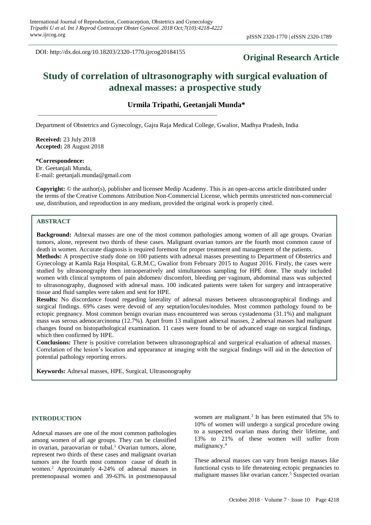DOI: http://dx.doi.org/10.18203/2320-1770.ijrcog20184155

## **Original Research Article**

# **Study of correlation of ultrasonography with surgical evaluation of adnexal masses: a prospective study**

**Urmila Tripathi, Geetanjali Munda\***

Department of Obstetrics and Gynecology, Gajra Raja Medical College, Gwalior, Madhya Pradesh, India

**Received:** 23 July 2018 **Accepted:** 28 August 2018

**\*Correspondence:** Dr. Geetanjali Munda, E-mail: geetanjali.munda@gmail.com

**Copyright:** © the author(s), publisher and licensee Medip Academy. This is an open-access article distributed under the terms of the Creative Commons Attribution Non-Commercial License, which permits unrestricted non-commercial use, distribution, and reproduction in any medium, provided the original work is properly cited.

### **ABSTRACT**

**Background:** Adnexal masses are one of the most common pathologies among women of all age groups. Ovarian tumors, alone, represent two thirds of these cases. Malignant ovarian tumors are the fourth most common cause of death in women. Accurate diagnosis is required foremost for proper treatment and management of the patients. **Methods:** A prospective study done on 100 patients with adnexal masses presenting to Department of Obstetrics and Gynecology at Kamla Raja Hospital, G.R.M.C, Gwalior from February 2015 to August 2016. Firstly, the cases were studied by ultrasonography then intraoperatively and simultaneous sampling for HPE done. The study included women with clinical symptoms of pain abdomen/ discomfort, bleeding per vaginum, abdominal mass was subjected to ultrasonography, diagnosed with adnexal mass. 100 indicated patients were taken for surgery and intraoperative tissue and fluid samples were taken and sent for HPE.

**Results:** No discordance found regarding laterality of adnexal masses between ultrasonographical findings and surgical findings. 69% cases were devoid of any septation/locules/nodules. Most common pathology found to be ectopic pregnancy. Most common benign ovarian mass encountered was serous cystadenoma (31.1%) and malignant mass was serous adenocarcinoma (12.7%). Apart from 13 malignant adnexal masses, 2 adnexal masses had malignant changes found on histopathological examination. 11 cases were found to be of advanced stage on surgical findings, which then confirmed by HPE.

**Conclusions:** There is positive correlation between ultrasonographical and surgerical evaluation of adnexal masses. Correlation of the lesion's location and appearance at imaging with the surgical findings will aid in the detection of potential pathology reporting errors.

**Keywords:** Adnexal masses, HPE, Surgical, Ultrasonography

#### **INTRODUCTION**

Adnexal masses are one of the most common pathologies among women of all age groups. They can be classified in ovarian, paraovarian or tubal.<sup>1</sup> Ovarian tumors, alone, represent two thirds of these cases and malignant ovarian tumors are the fourth most common cause of death in women.<sup>2</sup> Approximately 4-24% of adnexal masses in premenopausal women and 39-63% in postmenopausal

women are malignant.<sup>3</sup> It has been estimated that  $5\%$  to 10% of women will undergo a surgical procedure owing to a suspected ovarian mass during their lifetime, and 13% to 21% of these women will suffer from malignancy.<sup>4</sup>

These adnexal masses can vary from benign masses like functional cysts to life threatening ectopic pregnancies to malignant masses like ovarian cancer.<sup>5</sup> Suspected ovarian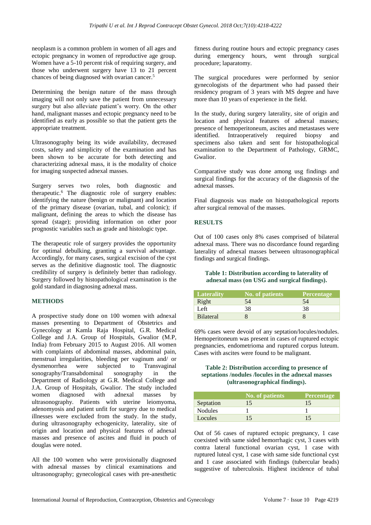neoplasm is a common problem in women of all ages and ectopic pregnancy in women of reproductive age group. Women have a 5-10 percent risk of requiring surgery, and those who underwent surgery have 13 to 21 percent chances of being diagnosed with ovarian cancer.<sup>5</sup>

Determining the benign nature of the mass through imaging will not only save the patient from unnecessary surgery but also alleviate patient's worry. On the other hand, malignant masses and ectopic pregnancy need to be identified as early as possible so that the patient gets the appropriate treatment.

Ultrasonography being its wide availability, decreased costs, safety and simplicity of the examination and has been shown to be accurate for both detecting and characterizing adnexal mass, it is the modality of choice for imaging suspected adnexal masses.

Surgery serves two roles, both diagnostic and therapeutic.<sup>6</sup> The diagnostic role of surgery enables: identifying the nature (benign or malignant) and location of the primary disease (ovarian, tubal, and colonic); if malignant, defining the areas to which the disease has spread (stage); providing information on other poor prognostic variables such as grade and histologic type.

The therapeutic role of surgery provides the opportunity for optimal debulking, granting a survival advantage. Accordingly, for many cases, surgical excision of the cyst serves as the definitive diagnostic tool. The diagnostic credibility of surgery is definitely better than radiology. Surgery followed by histopathological examination is the gold standard in diagnosing adnexal mass.

#### **METHODS**

A prospective study done on 100 women with adnexal masses presenting to Department of Obstetrics and Gynecology at Kamla Raja Hospital, G.R. Medical College and J.A. Group of Hospitals, Gwalior (M.P, India) from February 2015 to August 2016. All women with complaints of abdominal masses, abdominal pain, menstrual irregularities, bleeding per vaginum and/ or dysmenorrhea were subjected to Transvaginal sonography/Transabdominal sonography in the Department of Radiology at G.R. Medical College and J.A. Group of Hospitals, Gwalior. The study included women diagnosed with adnexal masses by ultrasonography. Patients with uterine leiomyoma, adenomyosis and patient unfit for surgery due to medical illnesses were excluded from the study. In the study, during ultrasonography echogenicity, laterality, site of origin and location and physical features of adnexal masses and presence of ascites and fluid in pouch of douglas were noted.

All the 100 women who were provisionally diagnosed with adnexal masses by clinical examinations and ultrasonography; gynecological cases with pre-anesthetic fitness during routine hours and ectopic pregnancy cases during emergency hours, went through surgical procedure; laparatomy.

The surgical procedures were performed by senior gynecologists of the department who had passed their residency program of 3 years with MS degree and have more than 10 years of experience in the field.

In the study, during surgery laterality, site of origin and location and physical features of adnexal masses; presence of hemoperitoneum, ascites and metastases were identified. Intraoperatively required biopsy and specimens also taken and sent for histopathological examination to the Department of Pathology, GRMC, Gwalior.

Comparative study was done among usg findings and surgical findings for the accuracy of the diagnosis of the adnexal masses.

Final diagnosis was made on histopathological reports after surgical removal of the masses.

#### **RESULTS**

Out of 100 cases only 8% cases comprised of bilateral adnexal mass. There was no discordance found regarding laterality of adnexal masses between ultrasonographical findings and surgical findings.

#### **Table 1: Distribution according to laterality of adnexal mass (on USG and surgical findings).**

| Laterality       | No. of patients | <b>Percentage</b> |
|------------------|-----------------|-------------------|
| Right            | 54              | 54                |
| Left             | 38              | 38                |
| <b>Bilateral</b> |                 |                   |

69% cases were devoid of any septation/locules/nodules. Hemoperitoneum was present in cases of ruptured ectopic pregnancies, endometrioma and ruptured corpus luteum. Cases with ascites were found to be malignant.

#### **Table 2: Distribution according to presence of septations /nodules /locules in the adnexal masses (ultrasonographical findings).**

|                | No. of patients | <b>Percentage</b> |
|----------------|-----------------|-------------------|
| Septation      | 15              | 15                |
| <b>Nodules</b> |                 |                   |
| Locules        |                 | 15                |

Out of 56 cases of ruptured ectopic pregnancy, 1 case coexisted with same sided hemorrhagic cyst, 3 cases with contra lateral functional ovarian cyst, 1 case with ruptured luteal cyst, 1 case with same side functional cyst and 1 case associated with findings (tubercular beads) suggestive of tuberculosis. Highest incidence of tubal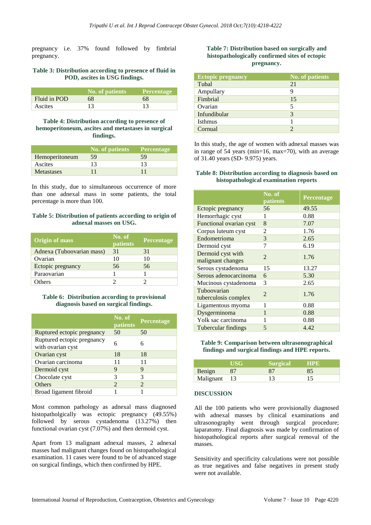pregnancy i.e. 37% found followed by fimbrial pregnancy.

#### **Table 3: Distribution according to presence of fluid in POD, ascites in USG findings.**

|              | No. of patients | <b>Percentage</b> |
|--------------|-----------------|-------------------|
| Fluid in POD | 68              | 68                |
| Ascites      | 13              |                   |

#### **Table 4: Distribution according to presence of hemoperitoneum, ascites and metastases in surgical findings.**

|                   | No. of patients | <b>Percentage</b> |
|-------------------|-----------------|-------------------|
| Hemoperitoneum    | 59              | 59                |
| Ascites           | 13              | 13                |
| <b>Metastases</b> |                 |                   |

In this study, due to simultaneous occurrence of more than one adnexal mass in some patients, the total percentage is more than 100.

#### **Table 5: Distribution of patients according to origin of adnexal masses on USG.**

| <b>Origin of mass</b>     | No. of<br>patients | <b>Percentage</b> |
|---------------------------|--------------------|-------------------|
| Adnexa (Tuboovarian mass) | 31                 | 31                |
| Ovarian                   | 10                 | 10                |
| Ectopic pregnancy         | 56                 | 56                |
| Paraovarian               |                    |                   |
| <b>Others</b>             |                    |                   |

#### **Table 6: Distribution according to provisional diagnosis based on surgical findings.**

|                                                 | No. of<br>patients          | <b>Percentage</b> |
|-------------------------------------------------|-----------------------------|-------------------|
| Ruptured ectopic pregnancy                      | 50                          | 50                |
| Ruptured ectopic pregnancy<br>with ovarian cyst | 6                           |                   |
| Ovarian cyst                                    | 18                          | 18                |
| Ovarian carcinoma                               | 11                          | 11                |
| Dermoid cyst                                    | 9                           | 9                 |
| Chocolate cyst                                  | 3                           | 3                 |
| <b>Others</b>                                   | $\mathcal{D}_{\mathcal{A}}$ | 2                 |
| Broad ligament fibroid                          |                             |                   |

Most common pathology as adnexal mass diagnosed histopatholgically was ectopic pregnancy (49.55%) followed by serous cystadenoma (13.27%) then functional ovarian cyst (7.07%) and then dermoid cyst.

Apart from 13 malignant adnexal masses, 2 adnexal masses had malignant changes found on histopathological examination. 11 cases were found to be of advanced stage on surgical findings, which then confirmed by HPE.

#### **Table 7: Distribution based on surgically and histopathologically confirmed sites of ectopic pregnancy.**

| <b>Ectopic pregnancy</b> | <b>No. of patients</b> |
|--------------------------|------------------------|
| Tubal                    | 21                     |
| Ampullary                | 9                      |
| Fimbrial                 | 15                     |
| Ovarian                  | 5                      |
| Infundibular             | 3                      |
| Isthmus                  |                        |
| Cornual                  |                        |

In this study, the age of women with adnexal masses was in range of 54 years (min=16, max=70), with an average of 31.40 years (SD- 9.975) years.

#### **Table 8: Distribution according to diagnosis based on histopathological examination reports**

|                                        | No. of<br>patients | Percentage |
|----------------------------------------|--------------------|------------|
| Ectopic pregnancy                      | 56                 | 49.55      |
| Hemorrhagic cyst                       | 1                  | 0.88       |
| Functional ovarian cyst                | 8                  | 7.07       |
| Corpus luteum cyst                     | 2                  | 1.76       |
| Endometrioma                           | 3                  | 2.65       |
| Dermoid cyst                           | 7                  | 6.19       |
| Dermoid cyst with<br>malignant changes | $\mathfrak{D}$     | 1.76       |
| Serous cystadenoma                     | 15                 | 13.27      |
| Serous adenocarcinoma                  | 6                  | 5.30       |
| Mucinous cystadenoma                   | 3                  | 2.65       |
| Tuboovarian<br>tuberculosis complex    | $\mathfrak{D}$     | 1.76       |
| Ligamentous myoma                      | 1                  | 0.88       |
| Dysgerminoma                           | 1                  | 0.88       |
| Yolk sac carcinoma                     |                    | 0.88       |
| Tubercular findings                    | 5                  | 4.42       |

#### **Table 9: Comparison between ultrasonographical findings and surgical findings and HPE reports.**

|              | USG | <b>Surgical</b> | HPE |
|--------------|-----|-----------------|-----|
| Benign       |     | 87              | 85  |
| Malignant 13 |     | 13              | 15  |

#### **DISCUSSION**

All the 100 patients who were provisionally diagnosed with adnexal masses by clinical examinations and ultrasonography went through surgical procedure; laparatomy. Final diagnosis was made by confirmation of histopathological reports after surgical removal of the masses.

Sensitivity and specificity calculations were not possible as true negatives and false negatives in present study were not available.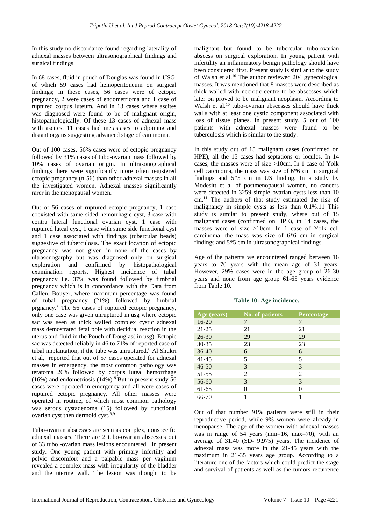In this study no discordance found regarding laterality of adnexal masses between ultrasonographical findings and surgical findings.

In 68 cases, fluid in pouch of Douglas was found in USG, of which 59 cases had hemoperitoneum on surgical findings; in these cases, 56 cases were of ectopic pregnancy, 2 were cases of endometrioma and 1 case of ruptured corpus luteum. And in 13 cases where ascites was diagnosed were found to be of malignant origin, histopathologically. Of these 13 cases of adnexal mass with ascites. 11 cases had metastases to adjoining and distant organs suggesting advanced stage of carcinoma.

Out of 100 cases, 56% cases were of ectopic pregnancy followed by 31% cases of tubo-ovarian mass followed by 10% cases of ovarian origin. In ultrasonographical findings there were significantly more often registered ectopic pregnancy (n-56) than other adnexal masses in all the investigated women. Adnexal masses significantly rarer in the menopausal women.

Out of 56 cases of ruptured ectopic pregnancy, 1 case coexisted with same sided hemorrhagic cyst, 3 case with contra lateral functional ovarian cyst, 1 case with ruptured luteal cyst, 1 case with same side functional cyst and 1 case associated with findings (tubercular beads) suggestive of tuberculosis. The exact location of ectopic pregnancy was not given in none of the cases by ultrasonogarphy but was diagnosed only on surgical exploration and confirmed by histopathological examination reports. Highest incidence of tubal pregnancy i.e. 37% was found followed by fimbrial pregnancy which is in concordance with the Data from Callen, Bouyer, where maximum percentage was found of tubal pregnancy (21%) followed by fimbrial prgnancy.<sup>7</sup> The 56 cases of ruptured ectopic pregnancy, only one case was given unruptured in usg where ectopic sac was seen as thick walled complex cystic adnexal mass demostrated fetal pole with decidual reaction in the uterus and fluid in the Pouch of Douglas( in usg). Ectopic sac was detected reliably in 46 to 71% of reported case of tubal implantation, if the tube was unruptured.<sup>8</sup> Al Shukri et al, reported that out of 57 cases operated for adnexal masses in emergency, the most common pathology was teratoma 26% followed by corpus luteal hemorrhage  $(16\%)$  and endometriosis  $(14\%)$ .<sup>9</sup> But in present study 56 cases were operated in emergency and all were cases of ruptured ectopic pregnancy. All other masses were operated in routine, of which most common pathology was serous cystadenoma (15) followed by functional ovarian cyst then dermoid cyst.<sup>8,9</sup>

Tubo-ovarian abscesses are seen as complex, nonspecific adnexal masses. There are 2 tubo-ovarian abscesses out of 33 tubo -ovarian mass lesions encountered in present study. One young patient with primary infertilty and pelvic discomfort and a palpable mass per vaginum revealed a complex mass with irregularity of the bladder and the uterine wall. The lesion was thought to be malignant but found to be tubercular tubo-ovarian abscess on surgical exploration. In young patient with infertility an inflammatory benign pathology should have been considered first. Present study is similar to the study of Walsh et al.<sup>10</sup> The author reviewed 204 gynecological masses. It was mentioned that 8 masses were described as thick walled with necrotic centre to be abscesses which later on proved to be malignant neoplasm. According to Walsh et al.<sup>10</sup> tubo-ovarian abscesses should have thick walls with at least one cystic component associated with loss of tissue planes. In present study, 5 out of 100 patients with adnexal masses were found to be tuberculosis which is similar to the study.

In this study out of 15 malignant cases (confirmed on HPE), all the 15 cases had septations or locules. In 14 cases, the masses were of size >10cm. In 1 case of Yolk cell carcinoma, the mass was size of 6\*6 cm in surgical findings and 5\*5 cm in US finding. In a study by Modesitt et al of postmenopausal women, no cancers were detected in 3259 simple ovarian cysts less than 10 cm.<sup>11</sup> The authors of that study estimated the risk of malignancy in simple cysts as less than 0.1%.11 This study is similar to present study, where out of 15 malignant cases (confirmed on HPE), in 14 cases, the masses were of size >10cm. In 1 case of Yolk cell carcinoma, the mass was size of 6\*6 cm in surgical findings and 5\*5 cm in ultrasonographical findings.

Age of the patients we encountered ranged between 16 years to 70 years with the mean age of 31 years. However, 29% cases were in the age group of 26-30 years and none from age group 61-65 years evidence from Table 10.

| Age (years) | <b>No. of patients</b> | <b>Percentage</b> |
|-------------|------------------------|-------------------|
| $16 - 20$   | 7                      | 7                 |
| $21 - 25$   | 21                     | 21                |
| $26 - 30$   | 29                     | 29                |
| $30 - 35$   | 23                     | 23                |
| $36-40$     | 6                      | 6                 |
| $41 - 45$   | 5                      | 5                 |
| $46 - 50$   | 3                      | 3                 |
| 51-55       | 2                      | 2                 |
| 56-60       | 3                      | 3                 |
| 61-65       | 0                      | 0                 |
| 66-70       |                        | 1                 |

**Table 10: Age incidence.**

Out of that number 91% patients were still in their reproductive period, while 9% women were already in menopause. The age of the women with adnexal masses was in range of 54 years (min=16, max=70), with an average of 31.40 (SD- 9.975) years. The incidence of adnexal mass was more in the 21-45 years with the maximum in 21-35 years age group. According to a literature one of the factors which could predict the stage and survival of patients as well as the tumors recurrence